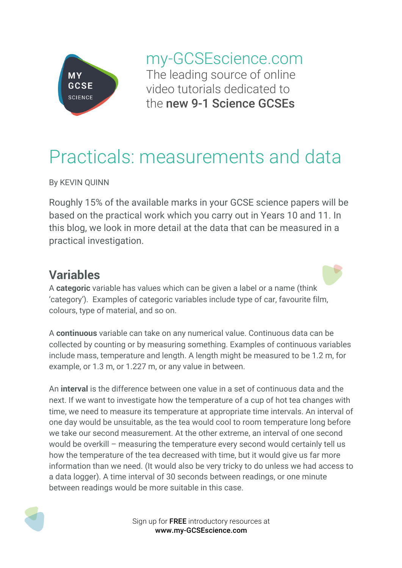

my-GCSEscience.com The leading source of online video tutorials dedicated to the new 9-1 Science GCSEs

# Practicals: measurements and data

By KEVIN QUINN

Roughly 15% of the available marks in your GCSE science papers will be based on the practical work which you carry out in Years 10 and 11. In this blog, we look in more detail at the data that can be measured in a practical investigation.

## **Variables**

A **categoric** variable has values which can be given a label or a name (think 'category'). Examples of categoric variables include type of car, favourite film, colours, type of material, and so on.

A **continuous** variable can take on any numerical value. Continuous data can be collected by counting or by measuring something. Examples of continuous variables include mass, temperature and length. A length might be measured to be 1.2 m, for example, or 1.3 m, or 1.227 m, or any value in between.

An **interval** is the difference between one value in a set of continuous data and the next. If we want to investigate how the temperature of a cup of hot tea changes with time, we need to measure its temperature at appropriate time intervals. An interval of one day would be unsuitable, as the tea would cool to room temperature long before we take our second measurement. At the other extreme, an interval of one second would be overkill – measuring the temperature every second would certainly tell us how the temperature of the tea decreased with time, but it would give us far more information than we need. (It would also be very tricky to do unless we had access to a data logger). A time interval of 30 seconds between readings, or one minute between readings would be more suitable in this case.



Sign up for FREE introductory resources at www.my-GCSEscience.com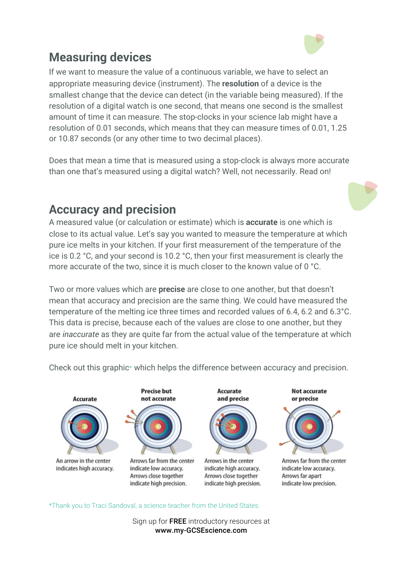

## **Measuring devices**

If we want to measure the value of a continuous variable, we have to select an appropriate measuring device (instrument). The **resolution** of a device is the smallest change that the device can detect (in the variable being measured). If the resolution of a digital watch is one second, that means one second is the smallest amount of time it can measure. The stop-clocks in your science lab might have a resolution of 0.01 seconds, which means that they can measure times of 0.01, 1.25 or 10.87 seconds (or any other time to two decimal places).

Does that mean a time that is measured using a stop-clock is always more accurate than one that's measured using a digital watch? Well, not necessarily. Read on!

#### **Accuracy and precision**

A measured value (or calculation or estimate) which is **accurate** is one which is close to its actual value. Let's say you wanted to measure the temperature at which pure ice melts in your kitchen. If your first measurement of the temperature of the ice is 0.2 °C, and your second is 10.2 °C, then your first measurement is clearly the more accurate of the two, since it is much closer to the known value of 0 °C.

Two or more values which are **precise** are close to one another, but that doesn't mean that accuracy and precision are the same thing. We could have measured the temperature of the melting ice three times and recorded values of 6.4, 6.2 and 6.3°C. This data is precise, because each of the values are close to one another, but they are *inaccurate* as they are quite far from the actual value of the temperature at which pure ice should melt in your kitchen.

**Not accurate Precise but** Accurate not accurate and precise or precise Accurate An arrow in the center Arrows far from the center Arrows in the center Arrows far from the center indicates high accuracy. indicate high accuracy. indicate low accuracy. indicate low accuracy. Arrows close together Arrows close together Arrows far apart indicate high precision. indicate high precision. indicate low precision.

Check out this graphic\* which helps the difference between accuracy and precision.

\*Thank you to Traci Sandoval, a science teacher from the United States.

Sign up for FREE introductory resources at www.my-GCSEscience.com